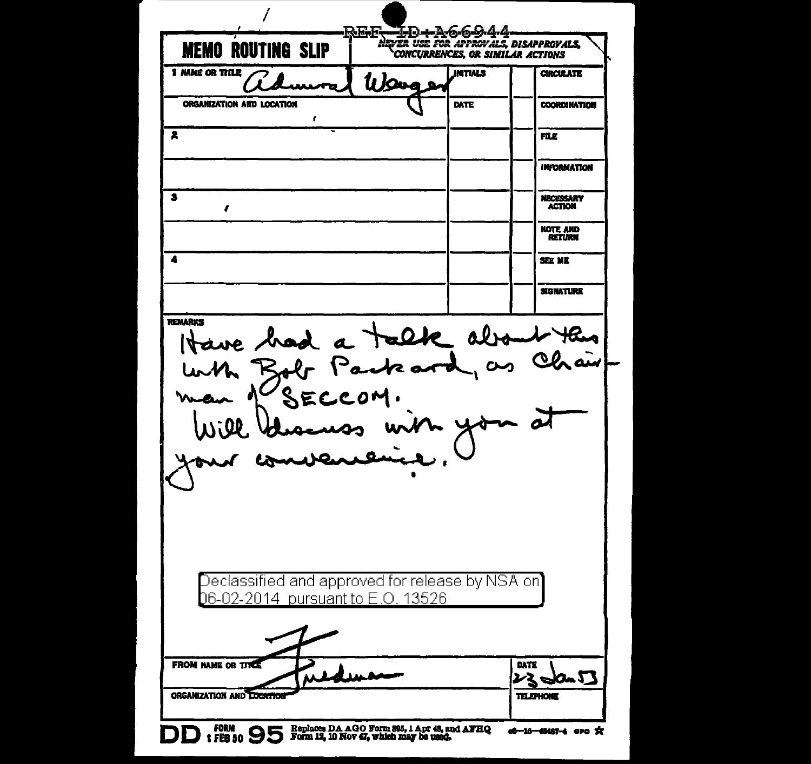| <b>MEMO ROUTING SLIP</b>                         |        | CONCURRENCES, OR SIMILAR ACTIONS |                                   |
|--------------------------------------------------|--------|----------------------------------|-----------------------------------|
| 1 NAME OR TITLE                                  | lı Jan | <b>INTIALS</b>                   | <b>CIRCULATE</b>                  |
| ORGANIZATION AND LOCATION<br>ı                   |        | DATE                             | <b>COORDINATION</b>               |
| 2                                                |        |                                  | FILE                              |
|                                                  |        |                                  | <b>INFORMATION</b>                |
| З<br>,                                           |        |                                  | <b>NECESSARY</b><br><b>ACTION</b> |
|                                                  |        |                                  | <b>NOTE AND</b><br><b>RETURN</b>  |
| A                                                |        |                                  | SEE ME                            |
|                                                  |        |                                  | <b>SIGNATURE</b>                  |
| Have had a talk about this<br>'SECCOM.           |        | L you                            |                                   |
| Will blue was with<br>convenience                |        |                                  |                                   |
| Declassified and approved for release by NSA on] |        |                                  |                                   |
| <u>06-02-2014 pursuant to E.O. 13526 </u>        |        |                                  |                                   |
| <b>FROM NAME OR TITLE</b>                        |        |                                  | DATE<br><b>UmJ</b>                |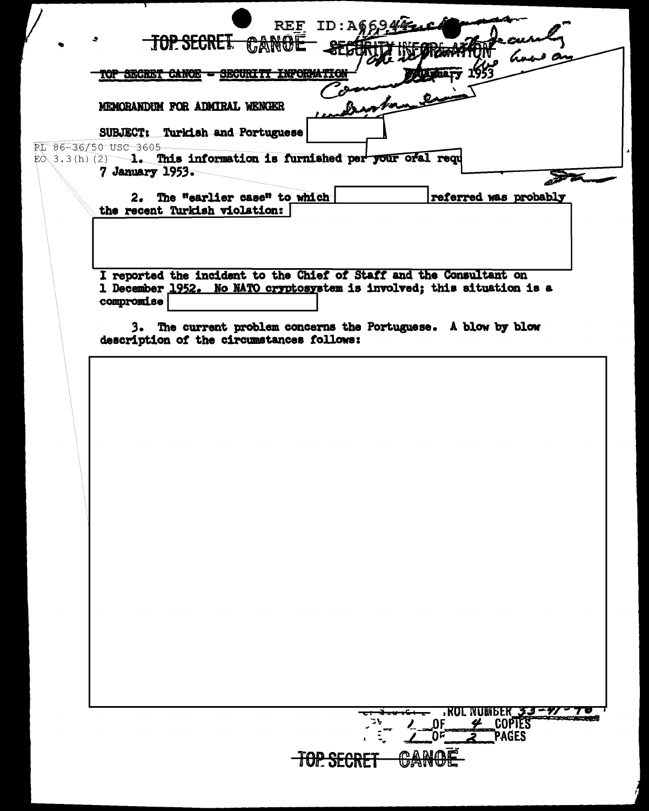| Benton<br>MEMORANDUM FOR ADMIRAL WENGER<br>SUBJECT: Turkish and Portuguese<br>PL 86-36/50 USC 3605                                                                               |
|----------------------------------------------------------------------------------------------------------------------------------------------------------------------------------|
| EÒ 3.3(h) (2) 1. This information is furnished per your oral requ<br>7 January 1953.<br>2. The "earlier case" to which<br>referred was probably<br>the recent Turkish violation: |
| I reported the incident to the Chief of Staff and the Consultant on<br>1 December 1952. No NATO cryptosystem is involved; this situation is a<br>compromise                      |
| 3. The current problem concerns the Portuguese. A blow by blow<br>description of the circumstances follows:                                                                      |
|                                                                                                                                                                                  |
|                                                                                                                                                                                  |
|                                                                                                                                                                                  |
|                                                                                                                                                                                  |
|                                                                                                                                                                                  |